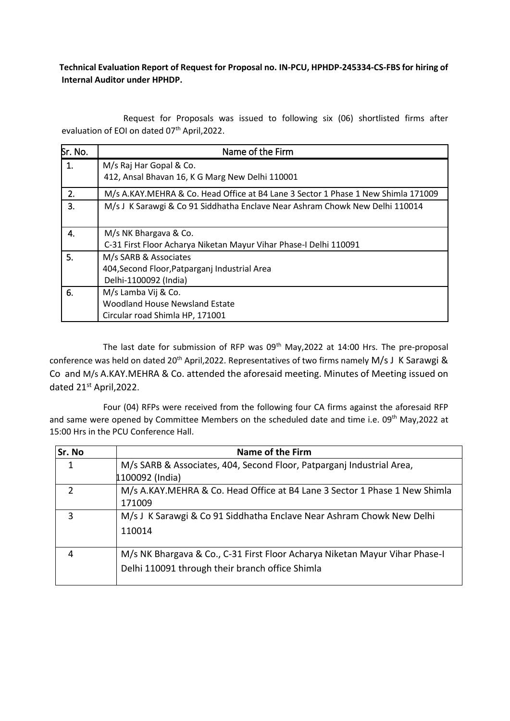P **Technical Evaluation Report of Request for Proposal no. IN-PCU, HPHDP-245334-CS-FBS for hiring of Internal Auditor under HPHDP.**

Request for Proposals was issued to following six (06) shortlisted firms after evaluation of EOI on dated 07<sup>th</sup> April, 2022.

| Sr. No. | Name of the Firm                                                                                |
|---------|-------------------------------------------------------------------------------------------------|
| 1.      | M/s Raj Har Gopal & Co.<br>412, Ansal Bhavan 16, K G Marg New Delhi 110001                      |
| 2.      | M/s A.KAY.MEHRA & Co. Head Office at B4 Lane 3 Sector 1 Phase 1 New Shimla 171009               |
| 3.      | M/s J K Sarawgi & Co 91 Siddhatha Enclave Near Ashram Chowk New Delhi 110014                    |
| 4.      | M/s NK Bhargava & Co.<br>C-31 First Floor Acharya Niketan Mayur Vihar Phase-I Delhi 110091      |
| 5.      | M/s SARB & Associates<br>404, Second Floor, Patparganj Industrial Area<br>Delhi-1100092 (India) |
| 6.      | M/s Lamba Vij & Co.<br><b>Woodland House Newsland Estate</b><br>Circular road Shimla HP, 171001 |

The last date for submission of RFP was 09<sup>th</sup> May, 2022 at 14:00 Hrs. The pre-proposal conference was held on dated 20<sup>th</sup> April, 2022. Representatives of two firms namely M/s J K Sarawgi & Co and M/s A.KAY.MEHRA & Co. attended the aforesaid meeting. Minutes of Meeting issued on dated 21<sup>st</sup> April, 2022.

 Four (04) RFPs were received from the following four CA firms against the aforesaid RFP and same were opened by Committee Members on the scheduled date and time i.e. 09<sup>th</sup> May,2022 at 15:00 Hrs in the PCU Conference Hall.

| Sr. No | Name of the Firm                                                                                                               |  |  |  |  |
|--------|--------------------------------------------------------------------------------------------------------------------------------|--|--|--|--|
| 1      | M/s SARB & Associates, 404, Second Floor, Patparganj Industrial Area,<br>1100092 (India)                                       |  |  |  |  |
|        | M/s A.KAY.MEHRA & Co. Head Office at B4 Lane 3 Sector 1 Phase 1 New Shimla<br>171009                                           |  |  |  |  |
| 3      | M/s J K Sarawgi & Co 91 Siddhatha Enclave Near Ashram Chowk New Delhi<br>110014                                                |  |  |  |  |
| 4      | M/s NK Bhargava & Co., C-31 First Floor Acharya Niketan Mayur Vihar Phase-I<br>Delhi 110091 through their branch office Shimla |  |  |  |  |